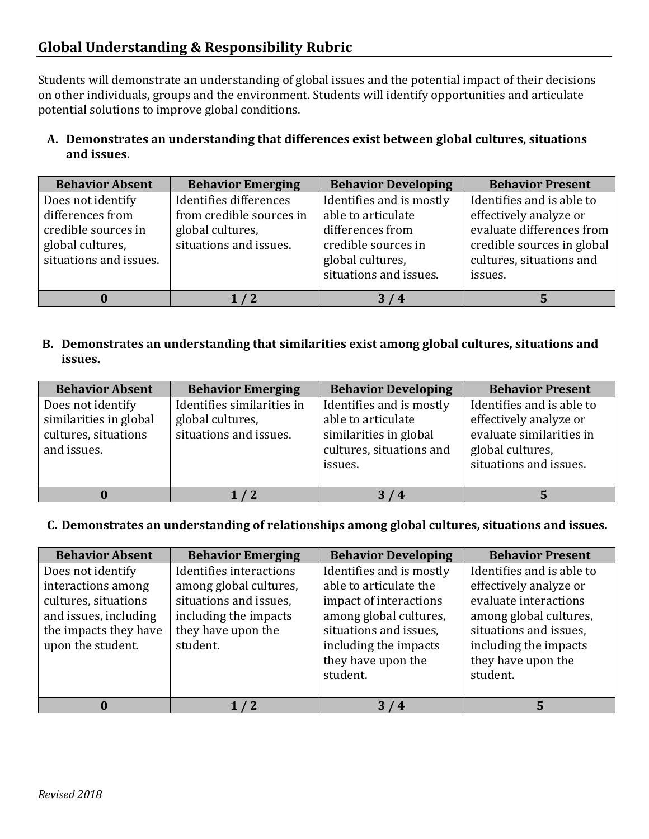# **Global Understanding & Responsibility Rubric**

Students will demonstrate an understanding of global issues and the potential impact of their decisions on other individuals, groups and the environment. Students will identify opportunities and articulate potential solutions to improve global conditions.

#### **A. Demonstrates an understanding that differences exist between global cultures, situations and issues.**

| <b>Behavior Absent</b>                                                                                     | <b>Behavior Emerging</b>                                                                         | <b>Behavior Developing</b>                                                                                                              | <b>Behavior Present</b>                                                                                                                               |
|------------------------------------------------------------------------------------------------------------|--------------------------------------------------------------------------------------------------|-----------------------------------------------------------------------------------------------------------------------------------------|-------------------------------------------------------------------------------------------------------------------------------------------------------|
| Does not identify<br>differences from<br>credible sources in<br>global cultures,<br>situations and issues. | Identifies differences<br>from credible sources in<br>global cultures,<br>situations and issues. | Identifies and is mostly<br>able to articulate<br>differences from<br>credible sources in<br>global cultures,<br>situations and issues. | Identifies and is able to<br>effectively analyze or<br>evaluate differences from<br>credible sources in global<br>cultures, situations and<br>issues. |
|                                                                                                            |                                                                                                  | 3/4                                                                                                                                     |                                                                                                                                                       |

## **B. Demonstrates an understanding that similarities exist among global cultures, situations and issues.**

| <b>Behavior Absent</b>                                                             | <b>Behavior Emerging</b>                                                 | <b>Behavior Developing</b>                                                                                      | <b>Behavior Present</b>                                                                                                       |
|------------------------------------------------------------------------------------|--------------------------------------------------------------------------|-----------------------------------------------------------------------------------------------------------------|-------------------------------------------------------------------------------------------------------------------------------|
| Does not identify<br>similarities in global<br>cultures, situations<br>and issues. | Identifies similarities in<br>global cultures,<br>situations and issues. | Identifies and is mostly<br>able to articulate<br>similarities in global<br>cultures, situations and<br>issues. | Identifies and is able to<br>effectively analyze or<br>evaluate similarities in<br>global cultures,<br>situations and issues. |
|                                                                                    |                                                                          | 74                                                                                                              |                                                                                                                               |

#### **C. Demonstrates an understanding of relationships among global cultures, situations and issues.**

| <b>Behavior Absent</b> | <b>Behavior Emerging</b> | <b>Behavior Developing</b> | <b>Behavior Present</b>   |
|------------------------|--------------------------|----------------------------|---------------------------|
| Does not identify      | Identifies interactions  | Identifies and is mostly   | Identifies and is able to |
| interactions among     | among global cultures,   | able to articulate the     | effectively analyze or    |
| cultures, situations   | situations and issues,   | impact of interactions     | evaluate interactions     |
| and issues, including  | including the impacts    | among global cultures,     | among global cultures,    |
| the impacts they have  | they have upon the       | situations and issues,     | situations and issues,    |
| upon the student.      | student.                 | including the impacts      | including the impacts     |
|                        |                          | they have upon the         | they have upon the        |
|                        |                          | student.                   | student.                  |
|                        |                          |                            |                           |
|                        |                          | 3/4                        |                           |